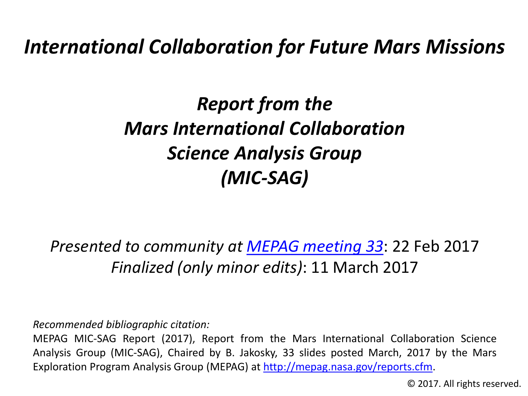*International Collaboration for Future Mars Missions*

*Report from the Mars International Collaboration Science Analysis Group (MIC-SAG)*

*Presented to community at [MEPAG meeting 33](https://mepag.jpl.nasa.gov/meetings.cfm?expand=m33)*: 22 Feb 2017 *Finalized (only minor edits)*: 11 March 2017

*Recommended bibliographic citation:*

MEPAG MIC-SAG Report (2017), Report from the Mars International Collaboration Science Analysis Group (MIC-SAG), Chaired by B. Jakosky, 33 slides posted March, 2017 by the Mars Exploration Program Analysis Group (MEPAG) at [http://mepag.nasa.gov/reports.cfm.](http://mepag.nasa.gov/reports.cfm)

© 2017. All rights reserved.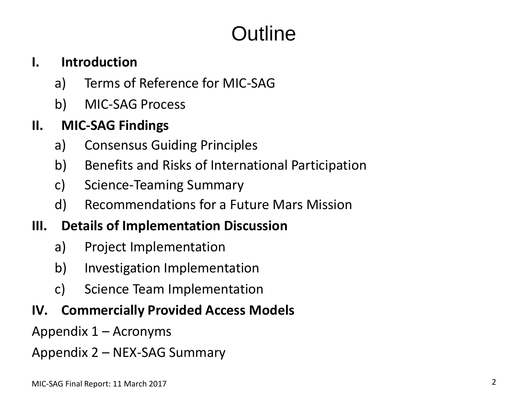# Outline

#### **I. Introduction**

- a) Terms of Reference for MIC-SAG
- b) MIC-SAG Process

#### **II. MIC-SAG Findings**

- a) Consensus Guiding Principles
- b) Benefits and Risks of International Participation
- c) Science-Teaming Summary
- d) Recommendations for a Future Mars Mission

#### **III. Details of Implementation Discussion**

- a) Project Implementation
- b) Investigation Implementation
- c) Science Team Implementation

#### **IV. Commercially Provided Access Models**

Appendix 1 – Acronyms

Appendix 2 – NEX-SAG Summary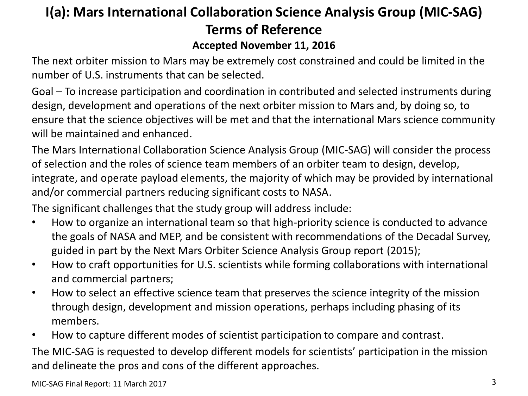#### **I(a): Mars International Collaboration Science Analysis Group (MIC-SAG) Terms of Reference Accepted November 11, 2016**

The next orbiter mission to Mars may be extremely cost constrained and could be limited in the number of U.S. instruments that can be selected.

Goal – To increase participation and coordination in contributed and selected instruments during design, development and operations of the next orbiter mission to Mars and, by doing so, to ensure that the science objectives will be met and that the international Mars science community will be maintained and enhanced.

The Mars International Collaboration Science Analysis Group (MIC-SAG) will consider the process of selection and the roles of science team members of an orbiter team to design, develop, integrate, and operate payload elements, the majority of which may be provided by international and/or commercial partners reducing significant costs to NASA.

The significant challenges that the study group will address include:

- How to organize an international team so that high-priority science is conducted to advance the goals of NASA and MEP, and be consistent with recommendations of the Decadal Survey, guided in part by the Next Mars Orbiter Science Analysis Group report (2015);
- How to craft opportunities for U.S. scientists while forming collaborations with international and commercial partners;
- How to select an effective science team that preserves the science integrity of the mission through design, development and mission operations, perhaps including phasing of its members.
- How to capture different modes of scientist participation to compare and contrast.

The MIC-SAG is requested to develop different models for scientists' participation in the mission and delineate the pros and cons of the different approaches.

MIC-SAG Final Report: 11 March 2017 3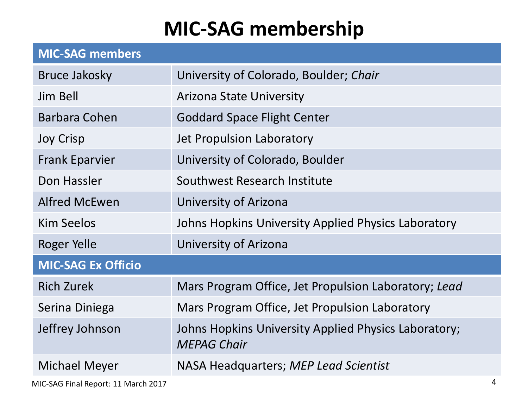## **MIC-SAG membership**

| <b>MIC-SAG members</b>    |                                                                            |  |  |
|---------------------------|----------------------------------------------------------------------------|--|--|
| Bruce Jakosky             | University of Colorado, Boulder; Chair                                     |  |  |
| Jim Bell                  | <b>Arizona State University</b>                                            |  |  |
| Barbara Cohen             | <b>Goddard Space Flight Center</b>                                         |  |  |
| <b>Joy Crisp</b>          | Jet Propulsion Laboratory                                                  |  |  |
| <b>Frank Eparvier</b>     | University of Colorado, Boulder                                            |  |  |
| Don Hassler               | Southwest Research Institute                                               |  |  |
| <b>Alfred McEwen</b>      | University of Arizona                                                      |  |  |
| <b>Kim Seelos</b>         | Johns Hopkins University Applied Physics Laboratory                        |  |  |
| Roger Yelle               | University of Arizona                                                      |  |  |
| <b>MIC-SAG Ex Officio</b> |                                                                            |  |  |
| <b>Rich Zurek</b>         | Mars Program Office, Jet Propulsion Laboratory; Lead                       |  |  |
| Serina Diniega            | Mars Program Office, Jet Propulsion Laboratory                             |  |  |
| Jeffrey Johnson           | Johns Hopkins University Applied Physics Laboratory;<br><b>MEPAG Chair</b> |  |  |
| <b>Michael Meyer</b>      | NASA Headquarters; MEP Lead Scientist                                      |  |  |
|                           |                                                                            |  |  |

MIC-SAG Final Report: 11 March 2017 4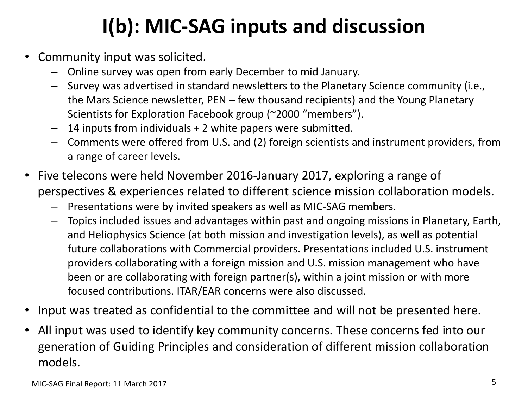# **I(b): MIC-SAG inputs and discussion**

- Community input was solicited.
	- Online survey was open from early December to mid January.
	- Survey was advertised in standard newsletters to the Planetary Science community (i.e., the Mars Science newsletter, PEN – few thousand recipients) and the Young Planetary Scientists for Exploration Facebook group (~2000 "members").
	- 14 inputs from individuals + 2 white papers were submitted.
	- Comments were offered from U.S. and (2) foreign scientists and instrument providers, from a range of career levels.
- Five telecons were held November 2016-January 2017, exploring a range of perspectives & experiences related to different science mission collaboration models.
	- Presentations were by invited speakers as well as MIC-SAG members.
	- Topics included issues and advantages within past and ongoing missions in Planetary, Earth, and Heliophysics Science (at both mission and investigation levels), as well as potential future collaborations with Commercial providers. Presentations included U.S. instrument providers collaborating with a foreign mission and U.S. mission management who have been or are collaborating with foreign partner(s), within a joint mission or with more focused contributions. ITAR/EAR concerns were also discussed.
- Input was treated as confidential to the committee and will not be presented here.
- All input was used to identify key community concerns. These concerns fed into our generation of Guiding Principles and consideration of different mission collaboration models.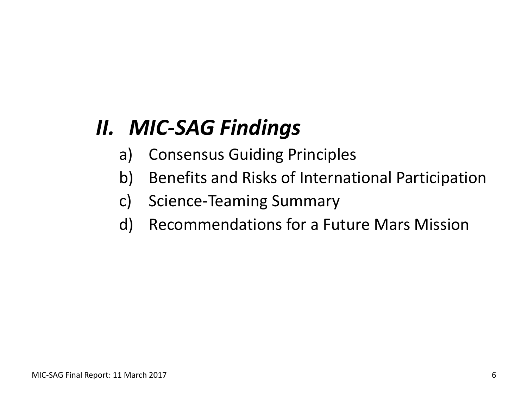# *II. MIC-SAG Findings*

- a) Consensus Guiding Principles
- b) Benefits and Risks of International Participation
- c) Science-Teaming Summary
- d) Recommendations for a Future Mars Mission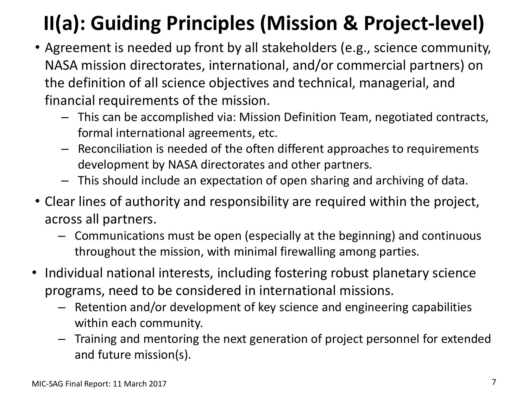# **II(a): Guiding Principles (Mission & Project-level)**

- Agreement is needed up front by all stakeholders (e.g., science community, NASA mission directorates, international, and/or commercial partners) on the definition of all science objectives and technical, managerial, and financial requirements of the mission.
	- This can be accomplished via: Mission Definition Team, negotiated contracts, formal international agreements, etc.
	- Reconciliation is needed of the often different approaches to requirements development by NASA directorates and other partners.
	- This should include an expectation of open sharing and archiving of data.
- Clear lines of authority and responsibility are required within the project, across all partners.
	- Communications must be open (especially at the beginning) and continuous throughout the mission, with minimal firewalling among parties.
- Individual national interests, including fostering robust planetary science programs, need to be considered in international missions.
	- Retention and/or development of key science and engineering capabilities within each community.
	- Training and mentoring the next generation of project personnel for extended and future mission(s).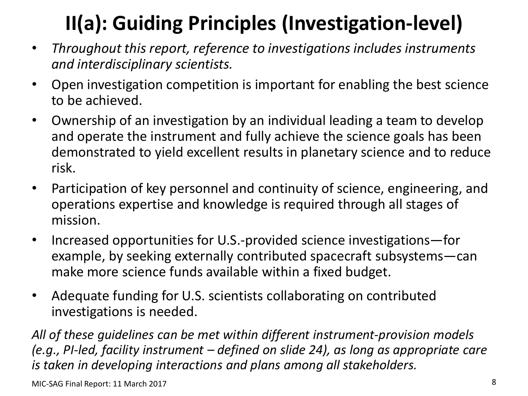# **II(a): Guiding Principles (Investigation-level)**

- *Throughout this report, reference to investigations includes instruments and interdisciplinary scientists.*
- Open investigation competition is important for enabling the best science to be achieved.
- Ownership of an investigation by an individual leading a team to develop and operate the instrument and fully achieve the science goals has been demonstrated to yield excellent results in planetary science and to reduce risk.
- Participation of key personnel and continuity of science, engineering, and operations expertise and knowledge is required through all stages of mission.
- Increased opportunities for U.S.-provided science investigations—for example, by seeking externally contributed spacecraft subsystems—can make more science funds available within a fixed budget.
- Adequate funding for U.S. scientists collaborating on contributed investigations is needed.

*All of these guidelines can be met within different instrument-provision models (e.g., PI-led, facility instrument – defined on slide 24), as long as appropriate care is taken in developing interactions and plans among all stakeholders.*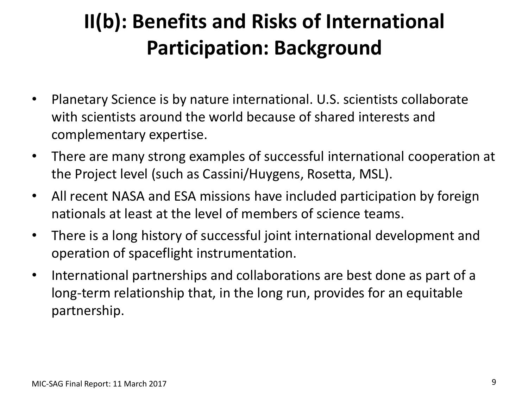# **II(b): Benefits and Risks of International Participation: Background**

- Planetary Science is by nature international. U.S. scientists collaborate with scientists around the world because of shared interests and complementary expertise.
- There are many strong examples of successful international cooperation at the Project level (such as Cassini/Huygens, Rosetta, MSL).
- All recent NASA and ESA missions have included participation by foreign nationals at least at the level of members of science teams.
- There is a long history of successful joint international development and operation of spaceflight instrumentation.
- International partnerships and collaborations are best done as part of a long-term relationship that, in the long run, provides for an equitable partnership.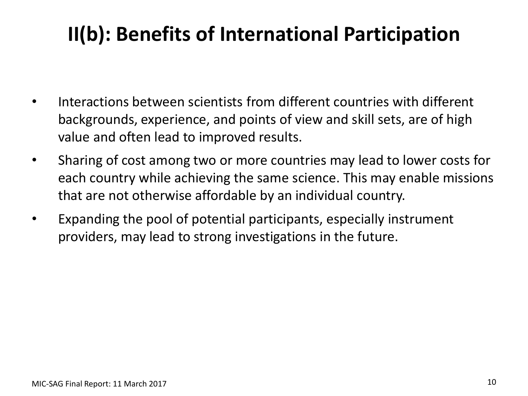## **II(b): Benefits of International Participation**

- Interactions between scientists from different countries with different backgrounds, experience, and points of view and skill sets, are of high value and often lead to improved results.
- Sharing of cost among two or more countries may lead to lower costs for each country while achieving the same science. This may enable missions that are not otherwise affordable by an individual country.
- Expanding the pool of potential participants, especially instrument providers, may lead to strong investigations in the future.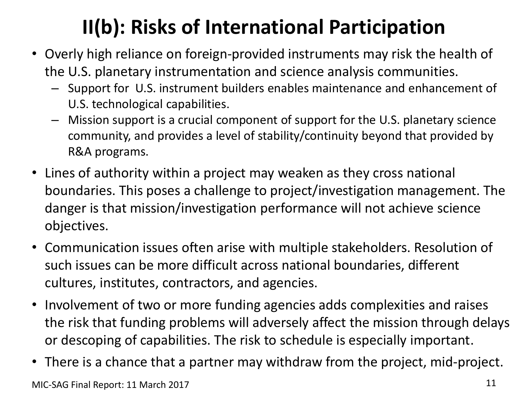# **II(b): Risks of International Participation**

- Overly high reliance on foreign-provided instruments may risk the health of the U.S. planetary instrumentation and science analysis communities.
	- Support for U.S. instrument builders enables maintenance and enhancement of U.S. technological capabilities.
	- Mission support is a crucial component of support for the U.S. planetary science community, and provides a level of stability/continuity beyond that provided by R&A programs.
- Lines of authority within a project may weaken as they cross national boundaries. This poses a challenge to project/investigation management. The danger is that mission/investigation performance will not achieve science objectives.
- Communication issues often arise with multiple stakeholders. Resolution of such issues can be more difficult across national boundaries, different cultures, institutes, contractors, and agencies.
- Involvement of two or more funding agencies adds complexities and raises the risk that funding problems will adversely affect the mission through delays or descoping of capabilities. The risk to schedule is especially important.
- There is a chance that a partner may withdraw from the project, mid-project.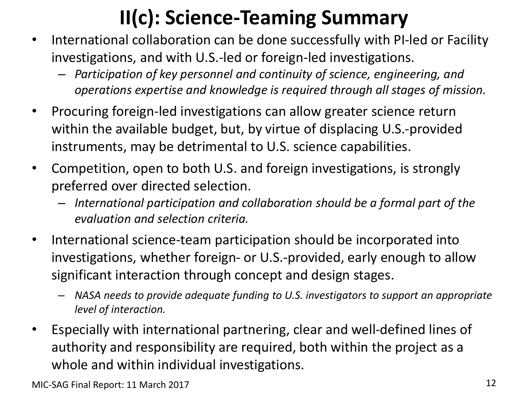## **II(c): Science-Teaming Summary**

- International collaboration can be done successfully with PI-led or Facility investigations, and with U.S.-led or foreign-led investigations.
	- *Participation of key personnel and continuity of science, engineering, and operations expertise and knowledge is required through all stages of mission.*
- Procuring foreign-led investigations can allow greater science return within the available budget, but, by virtue of displacing U.S.-provided instruments, may be detrimental to U.S. science capabilities.
- Competition, open to both U.S. and foreign investigations, is strongly preferred over directed selection.
	- *International participation and collaboration should be a formal part of the evaluation and selection criteria.*
- International science-team participation should be incorporated into investigations, whether foreign- or U.S.-provided, early enough to allow significant interaction through concept and design stages.
	- *NASA needs to provide adequate funding to U.S. investigators to support an appropriate level of interaction.*
- Especially with international partnering, clear and well-defined lines of authority and responsibility are required, both within the project as a whole and within individual investigations.

MIC-SAG Final Report: 11 March 2017 12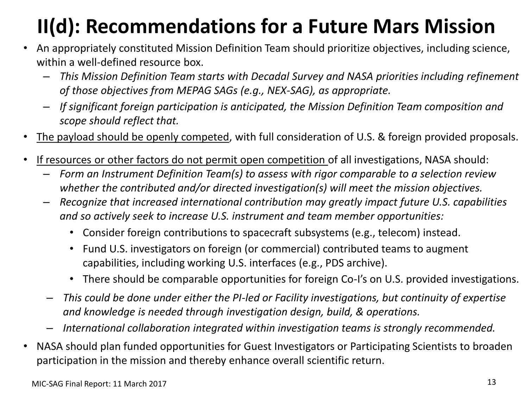# **II(d): Recommendations for a Future Mars Mission**

- An appropriately constituted Mission Definition Team should prioritize objectives, including science, within a well-defined resource box.
	- *This Mission Definition Team starts with Decadal Survey and NASA priorities including refinement of those objectives from MEPAG SAGs (e.g., NEX-SAG), as appropriate.*
	- *If significant foreign participation is anticipated, the Mission Definition Team composition and scope should reflect that.*
- The payload should be openly competed, with full consideration of U.S. & foreign provided proposals.
- If resources or other factors do not permit open competition of all investigations, NASA should:
	- *Form an Instrument Definition Team(s) to assess with rigor comparable to a selection review whether the contributed and/or directed investigation(s) will meet the mission objectives.*
	- *Recognize that increased international contribution may greatly impact future U.S. capabilities and so actively seek to increase U.S. instrument and team member opportunities:*
		- Consider foreign contributions to spacecraft subsystems (e.g., telecom) instead.
		- Fund U.S. investigators on foreign (or commercial) contributed teams to augment capabilities, including working U.S. interfaces (e.g., PDS archive).
		- There should be comparable opportunities for foreign Co-I's on U.S. provided investigations.
	- *This could be done under either the PI-led or Facility investigations, but continuity of expertise and knowledge is needed through investigation design, build, & operations.*
	- *International collaboration integrated within investigation teams is strongly recommended.*
- NASA should plan funded opportunities for Guest Investigators or Participating Scientists to broaden participation in the mission and thereby enhance overall scientific return.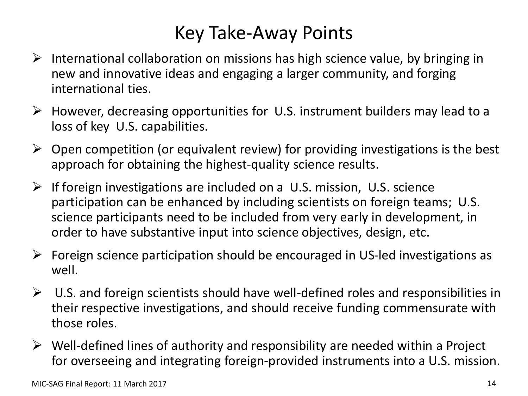### Key Take-Away Points

- $\triangleright$  International collaboration on missions has high science value, by bringing in new and innovative ideas and engaging a larger community, and forging international ties.
- $\triangleright$  However, decreasing opportunities for U.S. instrument builders may lead to a loss of key U.S. capabilities.
- $\triangleright$  Open competition (or equivalent review) for providing investigations is the best approach for obtaining the highest-quality science results.
- $\triangleright$  If foreign investigations are included on a U.S. mission, U.S. science participation can be enhanced by including scientists on foreign teams; U.S. science participants need to be included from very early in development, in order to have substantive input into science objectives, design, etc.
- $\triangleright$  Foreign science participation should be encouraged in US-led investigations as well.
- $\triangleright$  U.S. and foreign scientists should have well-defined roles and responsibilities in their respective investigations, and should receive funding commensurate with those roles.
- $\triangleright$  Well-defined lines of authority and responsibility are needed within a Project for overseeing and integrating foreign-provided instruments into a U.S. mission.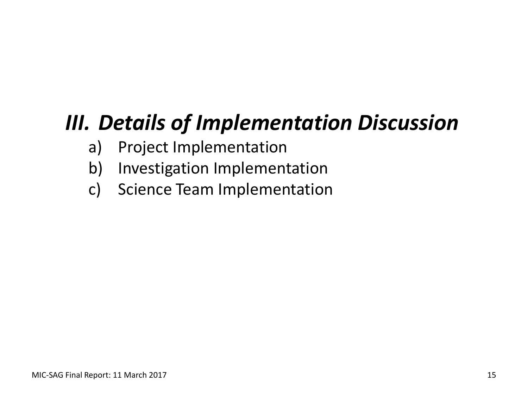# *III. Details of Implementation Discussion*

- a) Project Implementation
- b) Investigation Implementation
- c) Science Team Implementation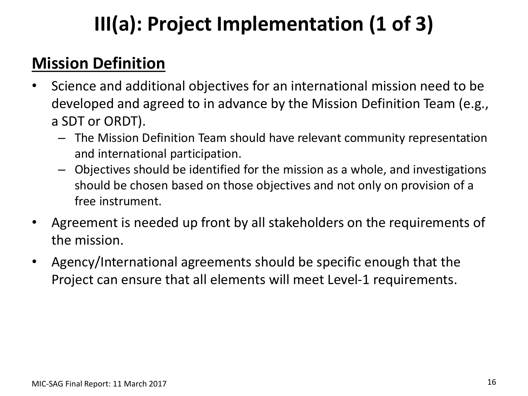# **III(a): Project Implementation (1 of 3)**

### **Mission Definition**

- Science and additional objectives for an international mission need to be developed and agreed to in advance by the Mission Definition Team (e.g., a SDT or ORDT).
	- The Mission Definition Team should have relevant community representation and international participation.
	- Objectives should be identified for the mission as a whole, and investigations should be chosen based on those objectives and not only on provision of a free instrument.
- Agreement is needed up front by all stakeholders on the requirements of the mission.
- Agency/International agreements should be specific enough that the Project can ensure that all elements will meet Level-1 requirements.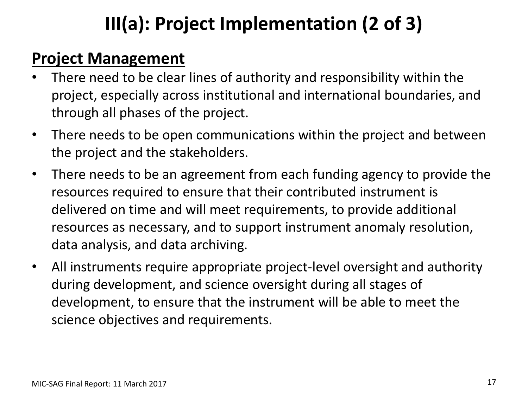## **III(a): Project Implementation (2 of 3)**

#### **Project Management**

- There need to be clear lines of authority and responsibility within the project, especially across institutional and international boundaries, and through all phases of the project.
- There needs to be open communications within the project and between the project and the stakeholders.
- There needs to be an agreement from each funding agency to provide the resources required to ensure that their contributed instrument is delivered on time and will meet requirements, to provide additional resources as necessary, and to support instrument anomaly resolution, data analysis, and data archiving.
- All instruments require appropriate project-level oversight and authority during development, and science oversight during all stages of development, to ensure that the instrument will be able to meet the science objectives and requirements.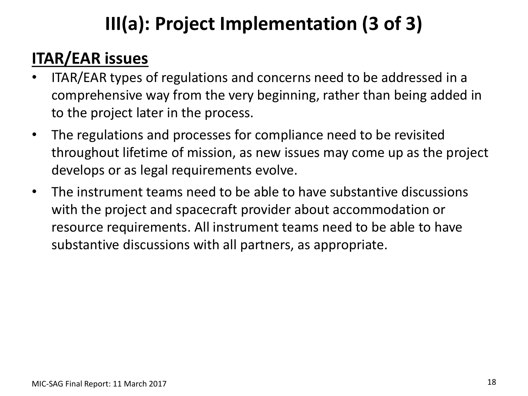## **III(a): Project Implementation (3 of 3)**

### **ITAR/EAR issues**

- ITAR/EAR types of regulations and concerns need to be addressed in a comprehensive way from the very beginning, rather than being added in to the project later in the process.
- The regulations and processes for compliance need to be revisited throughout lifetime of mission, as new issues may come up as the project develops or as legal requirements evolve.
- The instrument teams need to be able to have substantive discussions with the project and spacecraft provider about accommodation or resource requirements. All instrument teams need to be able to have substantive discussions with all partners, as appropriate.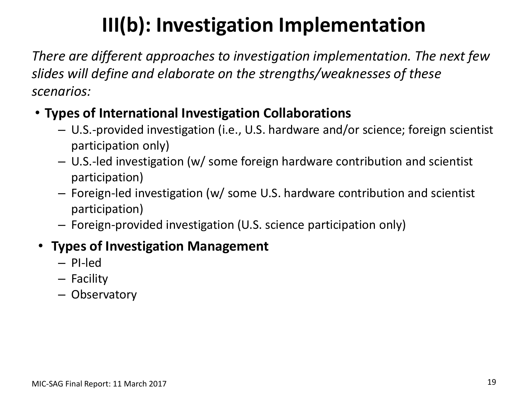## **III(b): Investigation Implementation**

*There are different approaches to investigation implementation. The next few slides will define and elaborate on the strengths/weaknesses of these scenarios:*

#### • **Types of International Investigation Collaborations**

- U.S.-provided investigation (i.e., U.S. hardware and/or science; foreign scientist participation only)
- U.S.-led investigation (w/ some foreign hardware contribution and scientist participation)
- Foreign-led investigation (w/ some U.S. hardware contribution and scientist participation)
- Foreign-provided investigation (U.S. science participation only)

#### • **Types of Investigation Management**

- PI-led
- Facility
- Observatory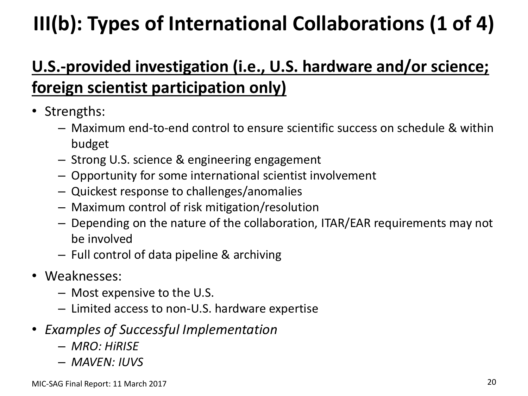# **III(b): Types of International Collaborations (1 of 4)**

### **U.S.-provided investigation (i.e., U.S. hardware and/or science; foreign scientist participation only)**

- Strengths:
	- Maximum end-to-end control to ensure scientific success on schedule & within budget
	- Strong U.S. science & engineering engagement
	- Opportunity for some international scientist involvement
	- Quickest response to challenges/anomalies
	- Maximum control of risk mitigation/resolution
	- Depending on the nature of the collaboration, ITAR/EAR requirements may not be involved
	- Full control of data pipeline & archiving
- Weaknesses:
	- Most expensive to the U.S.
	- Limited access to non-U.S. hardware expertise
- *Examples of Successful Implementation*
	- *MRO: HiRISE*
	- *MAVEN: IUVS*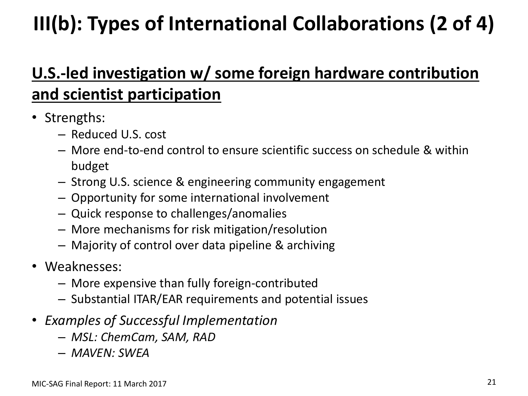# **III(b): Types of International Collaborations (2 of 4)**

### **U.S.-led investigation w/ some foreign hardware contribution and scientist participation**

- Strengths:
	- Reduced U.S. cost
	- More end-to-end control to ensure scientific success on schedule & within budget
	- Strong U.S. science & engineering community engagement
	- Opportunity for some international involvement
	- Quick response to challenges/anomalies
	- More mechanisms for risk mitigation/resolution
	- Majority of control over data pipeline & archiving
- Weaknesses:
	- More expensive than fully foreign-contributed
	- Substantial ITAR/EAR requirements and potential issues
- *Examples of Successful Implementation*
	- *MSL: ChemCam, SAM, RAD*
	- *MAVEN: SWEA*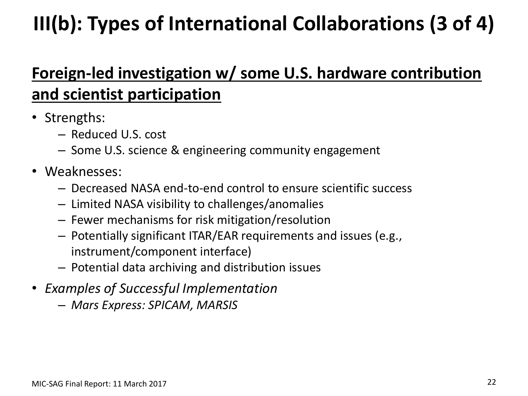# **III(b): Types of International Collaborations (3 of 4)**

### **Foreign-led investigation w/ some U.S. hardware contribution and scientist participation**

- Strengths:
	- Reduced U.S. cost
	- Some U.S. science & engineering community engagement
- Weaknesses:
	- Decreased NASA end-to-end control to ensure scientific success
	- Limited NASA visibility to challenges/anomalies
	- Fewer mechanisms for risk mitigation/resolution
	- Potentially significant ITAR/EAR requirements and issues (e.g., instrument/component interface)
	- Potential data archiving and distribution issues
- *Examples of Successful Implementation*
	- *Mars Express: SPICAM, MARSIS*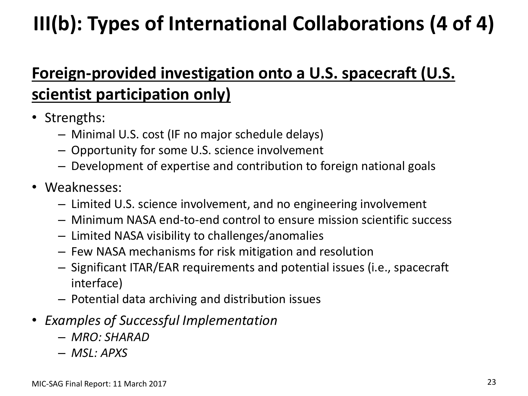# **III(b): Types of International Collaborations (4 of 4)**

### **Foreign-provided investigation onto a U.S. spacecraft (U.S. scientist participation only)**

- Strengths:
	- Minimal U.S. cost (IF no major schedule delays)
	- Opportunity for some U.S. science involvement
	- Development of expertise and contribution to foreign national goals
- Weaknesses:
	- Limited U.S. science involvement, and no engineering involvement
	- Minimum NASA end-to-end control to ensure mission scientific success
	- Limited NASA visibility to challenges/anomalies
	- Few NASA mechanisms for risk mitigation and resolution
	- Significant ITAR/EAR requirements and potential issues (i.e., spacecraft interface)
	- Potential data archiving and distribution issues
- *Examples of Successful Implementation*
	- *MRO: SHARAD*
	- *MSL: APXS*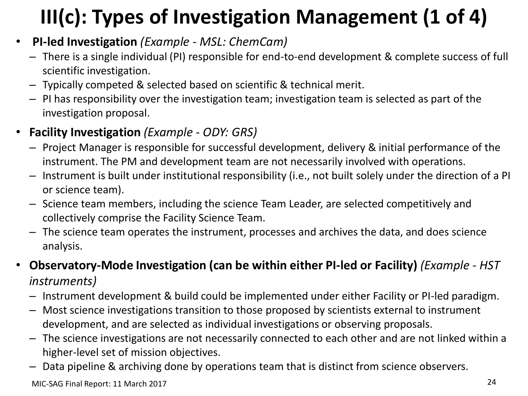# **III(c): Types of Investigation Management (1 of 4)**

- **PI-led Investigation** *(Example - MSL: ChemCam)*
	- There is a single individual (PI) responsible for end-to-end development & complete success of full scientific investigation.
	- Typically competed & selected based on scientific & technical merit.
	- PI has responsibility over the investigation team; investigation team is selected as part of the investigation proposal.
- **Facility Investigation** *(Example - ODY: GRS)*
	- Project Manager is responsible for successful development, delivery & initial performance of the instrument. The PM and development team are not necessarily involved with operations.
	- Instrument is built under institutional responsibility (i.e., not built solely under the direction of a PI or science team).
	- Science team members, including the science Team Leader, are selected competitively and collectively comprise the Facility Science Team.
	- The science team operates the instrument, processes and archives the data, and does science analysis.
- **Observatory-Mode Investigation (can be within either PI-led or Facility)** *(Example - HST instruments)*
	- Instrument development & build could be implemented under either Facility or PI-led paradigm.
	- Most science investigations transition to those proposed by scientists external to instrument development, and are selected as individual investigations or observing proposals.
	- The science investigations are not necessarily connected to each other and are not linked within a higher-level set of mission objectives.
	- Data pipeline & archiving done by operations team that is distinct from science observers.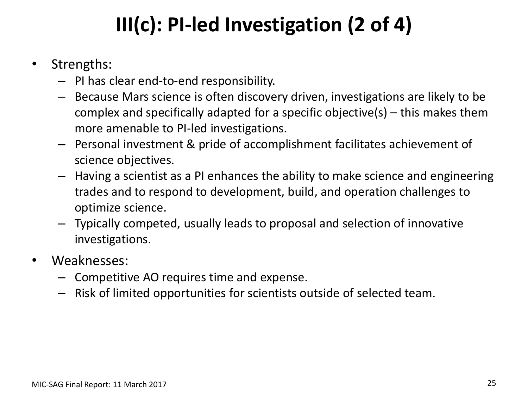# **III(c): PI-led Investigation (2 of 4)**

- Strengths:
	- PI has clear end-to-end responsibility.
	- Because Mars science is often discovery driven, investigations are likely to be complex and specifically adapted for a specific objective(s) – this makes them more amenable to PI-led investigations.
	- Personal investment & pride of accomplishment facilitates achievement of science objectives.
	- Having a scientist as a PI enhances the ability to make science and engineering trades and to respond to development, build, and operation challenges to optimize science.
	- Typically competed, usually leads to proposal and selection of innovative investigations.
- Weaknesses:
	- Competitive AO requires time and expense.
	- Risk of limited opportunities for scientists outside of selected team.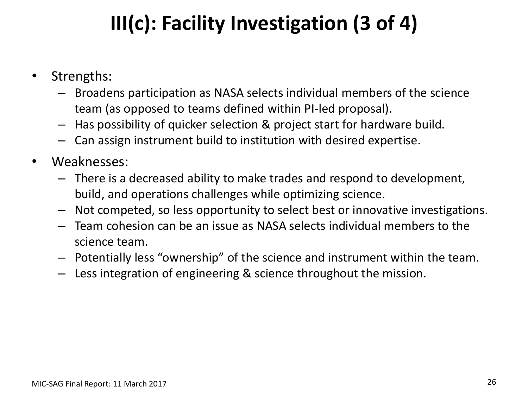# **III(c): Facility Investigation (3 of 4)**

- Strengths:
	- Broadens participation as NASA selects individual members of the science team (as opposed to teams defined within PI-led proposal).
	- Has possibility of quicker selection & project start for hardware build.
	- Can assign instrument build to institution with desired expertise.
- Weaknesses:
	- There is a decreased ability to make trades and respond to development, build, and operations challenges while optimizing science.
	- Not competed, so less opportunity to select best or innovative investigations.
	- Team cohesion can be an issue as NASA selects individual members to the science team.
	- Potentially less "ownership" of the science and instrument within the team.
	- Less integration of engineering & science throughout the mission.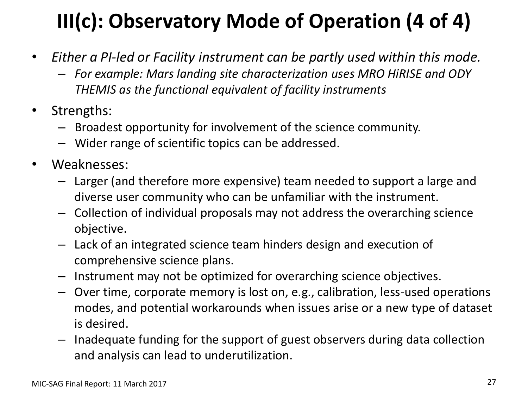# **III(c): Observatory Mode of Operation (4 of 4)**

- *Either a PI-led or Facility instrument can be partly used within this mode.* 
	- *For example: Mars landing site characterization uses MRO HiRISE and ODY THEMIS as the functional equivalent of facility instruments*
- Strengths:
	- Broadest opportunity for involvement of the science community.
	- Wider range of scientific topics can be addressed.
- Weaknesses:
	- Larger (and therefore more expensive) team needed to support a large and diverse user community who can be unfamiliar with the instrument.
	- Collection of individual proposals may not address the overarching science objective.
	- Lack of an integrated science team hinders design and execution of comprehensive science plans.
	- Instrument may not be optimized for overarching science objectives.
	- Over time, corporate memory is lost on, e.g., calibration, less-used operations modes, and potential workarounds when issues arise or a new type of dataset is desired.
	- Inadequate funding for the support of guest observers during data collection and analysis can lead to underutilization.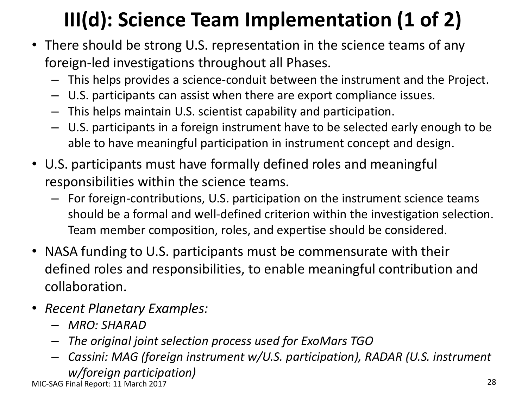# **III(d): Science Team Implementation (1 of 2)**

- There should be strong U.S. representation in the science teams of any foreign-led investigations throughout all Phases.
	- This helps provides a science-conduit between the instrument and the Project.
	- U.S. participants can assist when there are export compliance issues.
	- This helps maintain U.S. scientist capability and participation.
	- U.S. participants in a foreign instrument have to be selected early enough to be able to have meaningful participation in instrument concept and design.
- U.S. participants must have formally defined roles and meaningful responsibilities within the science teams.
	- For foreign-contributions, U.S. participation on the instrument science teams should be a formal and well-defined criterion within the investigation selection. Team member composition, roles, and expertise should be considered.
- NASA funding to U.S. participants must be commensurate with their defined roles and responsibilities, to enable meaningful contribution and collaboration.
- *Recent Planetary Examples:*
	- *MRO: SHARAD*
	- *The original joint selection process used for ExoMars TGO*
	- *Cassini: MAG (foreign instrument w/U.S. participation), RADAR (U.S. instrument*

*w/foreign participation)*

MIC-SAG Final Report: 11 March 2017 28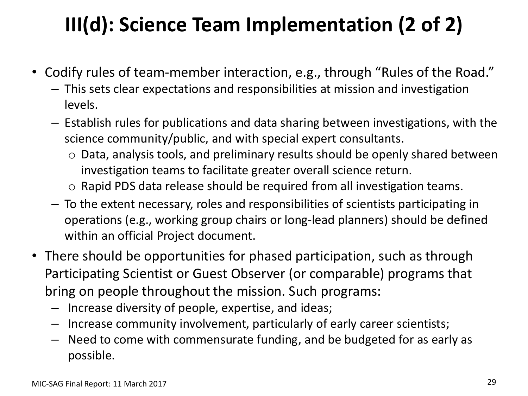# **III(d): Science Team Implementation (2 of 2)**

- Codify rules of team-member interaction, e.g., through "Rules of the Road."
	- This sets clear expectations and responsibilities at mission and investigation levels.
	- Establish rules for publications and data sharing between investigations, with the science community/public, and with special expert consultants.
		- o Data, analysis tools, and preliminary results should be openly shared between investigation teams to facilitate greater overall science return.
		- o Rapid PDS data release should be required from all investigation teams.
	- To the extent necessary, roles and responsibilities of scientists participating in operations (e.g., working group chairs or long-lead planners) should be defined within an official Project document.
- There should be opportunities for phased participation, such as through Participating Scientist or Guest Observer (or comparable) programs that bring on people throughout the mission. Such programs:
	- Increase diversity of people, expertise, and ideas;
	- Increase community involvement, particularly of early career scientists;
	- Need to come with commensurate funding, and be budgeted for as early as possible.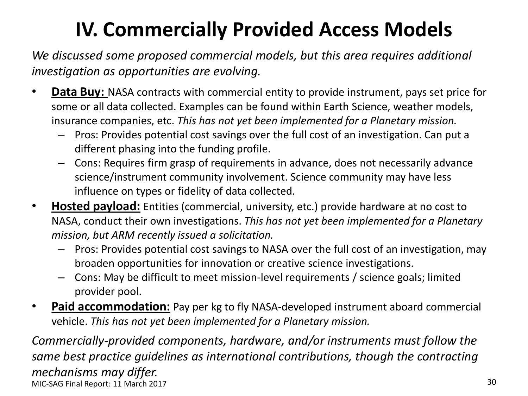## **IV. Commercially Provided Access Models**

*We discussed some proposed commercial models, but this area requires additional investigation as opportunities are evolving.*

- **Data Buy:** NASA contracts with commercial entity to provide instrument, pays set price for some or all data collected. Examples can be found within Earth Science, weather models, insurance companies, etc. *This has not yet been implemented for a Planetary mission.*
	- Pros: Provides potential cost savings over the full cost of an investigation. Can put a different phasing into the funding profile.
	- Cons: Requires firm grasp of requirements in advance, does not necessarily advance science/instrument community involvement. Science community may have less influence on types or fidelity of data collected.
- **Hosted payload:** Entities (commercial, university, etc.) provide hardware at no cost to NASA, conduct their own investigations. *This has not yet been implemented for a Planetary mission, but ARM recently issued a solicitation.*
	- Pros: Provides potential cost savings to NASA over the full cost of an investigation, may broaden opportunities for innovation or creative science investigations.
	- Cons: May be difficult to meet mission-level requirements / science goals; limited provider pool.
- **Paid accommodation:** Pay per kg to fly NASA-developed instrument aboard commercial vehicle. *This has not yet been implemented for a Planetary mission.*

*Commercially-provided components, hardware, and/or instruments must follow the same best practice guidelines as international contributions, though the contracting mechanisms may differ.* MIC-SAG Final Report: 11 March 2017 30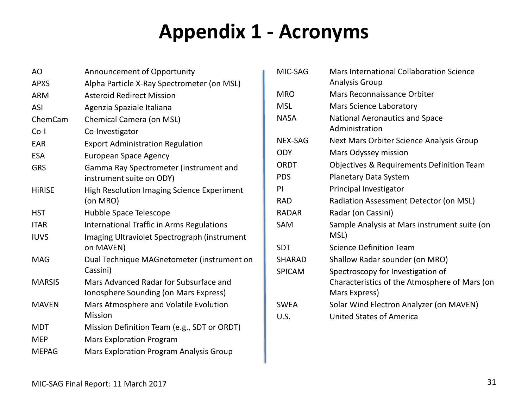## **Appendix 1 - Acronyms**

| Announcement of Opportunity                                                     |
|---------------------------------------------------------------------------------|
| Alpha Particle X-Ray Spectrometer (on MSL)                                      |
| <b>Asteroid Redirect Mission</b>                                                |
| Agenzia Spaziale Italiana                                                       |
| Chemical Camera (on MSL)                                                        |
| Co-Investigator                                                                 |
| <b>Export Administration Regulation</b>                                         |
| <b>European Space Agency</b>                                                    |
| Gamma Ray Spectrometer (instrument and<br>instrument suite on ODY)              |
| High Resolution Imaging Science Experiment<br>(on MRO)                          |
| Hubble Space Telescope                                                          |
| <b>International Traffic in Arms Regulations</b>                                |
| Imaging Ultraviolet Spectrograph (instrument<br>on MAVEN)                       |
| Dual Technique MAGnetometer (instrument on<br>Cassini)                          |
| Mars Advanced Radar for Subsurface and<br>Ionosphere Sounding (on Mars Express) |
| Mars Atmosphere and Volatile Evolution<br><b>Mission</b>                        |
| Mission Definition Team (e.g., SDT or ORDT)                                     |
| <b>Mars Exploration Program</b>                                                 |
| Mars Exploration Program Analysis Group                                         |
|                                                                                 |

| MIC-SAG       | Mars International Collaboration Science<br><b>Analysis Group</b> |
|---------------|-------------------------------------------------------------------|
| MRO           | Mars Reconnaissance Orbiter                                       |
| MSL           | Mars Science Laboratory                                           |
| <b>NASA</b>   | National Aeronautics and Space<br>Administration                  |
| NEX-SAG       | Next Mars Orbiter Science Analysis Group                          |
| <b>ODY</b>    | Mars Odyssey mission                                              |
| ORDT          | Objectives & Requirements Definition Team                         |
| <b>PDS</b>    | Planetary Data System                                             |
| ΡI            | Principal Investigator                                            |
| <b>RAD</b>    | Radiation Assessment Detector (on MSL)                            |
| <b>RADAR</b>  | Radar (on Cassini)                                                |
| SAM           | Sample Analysis at Mars instrument suite (on<br>MSL)              |
| <b>SDT</b>    | <b>Science Definition Team</b>                                    |
| <b>SHARAD</b> | Shallow Radar sounder (on MRO)                                    |
| <b>SPICAM</b> | Spectroscopy for Investigation of                                 |
|               | Characteristics of the Atmosphere of Mars (on                     |
|               | Mars Express)                                                     |
| <b>SWEA</b>   | Solar Wind Electron Analyzer (on MAVEN)                           |
| U.S.          | United States of America                                          |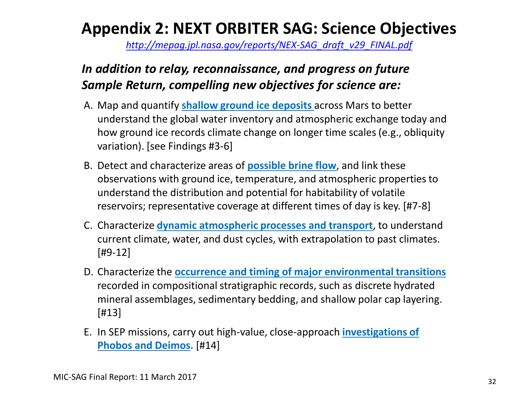### **Appendix 2: NEXT ORBITER SAG: Science Objectives**

*[http://mepag.jpl.nasa.gov/reports/NEX-SAG\\_draft\\_v29\\_FINAL.pdf](http://mepag.jpl.nasa.gov/reports/NEX-SAG_draft_v29_FINAL.pdf)*

#### *In addition to relay, reconnaissance, and progress on future Sample Return, compelling new objectives for science are:*

- A. Map and quantify **shallow ground ice deposits** across Mars to better understand the global water inventory and atmospheric exchange today and how ground ice records climate change on longer time scales (e.g., obliquity variation). [see Findings #3-6]
- B. Detect and characterize areas of **possible brine flow**, and link these observations with ground ice, temperature, and atmospheric properties to understand the distribution and potential for habitability of volatile reservoirs; representative coverage at different times of day is key. [#7-8]
- C. Characterize **dynamic atmospheric processes and transport**, to understand current climate, water, and dust cycles, with extrapolation to past climates. [#9-12]
- D. Characterize the **occurrence and timing of major environmental transitions**  recorded in compositional stratigraphic records, such as discrete hydrated mineral assemblages, sedimentary bedding, and shallow polar cap layering. [#13]
- E. In SEP missions, carry out high-value, close-approach **investigations of Phobos and Deimos.** [#14]